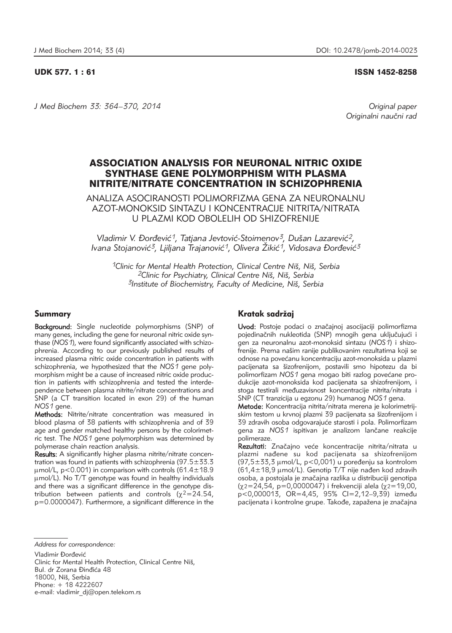## UDK 577. 1 : 61 ISSN 1452-8258

*J Med Biochem 33: 364–370, 2014 Original paper*

Originalni naučni rad

# ASSOCIATION ANALYSIS FOR NEURONAL NITRIC OXIDE SYNTHASE GENE POLYMORPHISM WITH PLASMA NITRITE/NITRATE CONCENTRATION IN SCHIZOPHRENIA

ANALIZA ASOCIRANOSTI POLIMORFIZMA GENA ZA NEURONALNU AZOT-MONOKSID SINTAZU I KONCENTRACIJE NITRITA/NITRATA U PLAZMI KOD OBOLELIH OD SHIZOFRENIJE

Vladimir V. Đorđević<sup>1</sup>, Tatjana Jevtović-Stoimenov<sup>3</sup>, Dušan Lazarević<sup>2</sup>, *Ivana Stojanović<sup>3</sup>, Ljiljana Trajanović<sup>1</sup>, Olivera Žikić<sup>1</sup>, Vidosava Đorđević<sup>3</sup>* 

*1Clinic for Mental Health Protection, Clinical Centre Ni{, Ni{, Serbia 2Clinic for Psychiatry, Clinical Centre Ni{, Ni{, Serbia 3Institute of Biochemistry, Faculty of Medicine, Ni{, Serbia*

## Summary

Background: Single nucleotide polymorphisms (SNP) of many genes, including the gene for neuronal nitric oxide synthase (NOS 1), were found significantly associated with schizophrenia. According to our previously published results of increased plasma nitric oxide concentration in patients with schizophrenia, we hypothesized that the *NOS1* gene polymorphism might be a cause of increased nitric oxide production in patients with schizophrenia and tested the interdependence between plasma nitrite/nitrate concentrations and SNP (a CT transition located in exon 29) of the human *NOS1* gene.

Methods: Nitrite/nitrate concentration was measured in blood plasma of 38 patients with schizophrenia and of 39 age and gender matched healthy persons by the colorimetric test. The *NOS1* gene polymorphism was determined by polymerase chain reaction analysis.

Results: A significantly higher plasma nitrite/nitrate concentration was found in patients with schizophrenia (97.5±33.3  $\mu$ mol/L, p<0.001) in comparison with controls (61.4 $\pm$ 18.9 mmol/L). No T/T genotype was found in healthy individuals and there was a significant difference in the genotype distribution between patients and controls ( $\chi^2$ =24.54, p=0.0000047). Furthermore, a significant difference in the

## Kratak sadržaj

Uvod: Postoje podaci o značajnoj asocijaciji polimorfizma pojedinačnih nukleotida (SNP) mnogih gena uključujući i gen za neuronalnu azot-monoksid sintazu (*NOS1*) i shizo frenije. Prema našim ranije publikovanim rezultatima koji se odnose na povećanu koncentraciju azot-monoksida u plazmi pacijenata sa šizofrenijom, postavili smo hipotezu da bi polimorfizam *NOS1* gena mogao biti razlog povećane produkcije azot-monoksida kod pacijenata sa shizofrenijom, i stoga testirali međuzavisnost koncentracije nitrita/nitrata i SNP (CT tranzicija u egzonu 29) humanog *NOS1* gena.

Metode: Koncentracija nitrita/nitrata merena je kolorimetrijskim testom u krvnoj plazmi 39 pacijenata sa šizofrenijom i 39 zdravih osoba odgovarajuće starosti i pola. Polimorfizam gena za NOS1 ispitivan je analizom lančane reakcije polimeraze.

Rezultati: Značajno veće koncentracije nitrita/nitrata u plazmi nađene su kod pacijenata sa shizofrenijom  $(97,5\pm33,3 \text{ }\mu\text{mol/L}, \text{ p} < 0.001)$  u poređenju sa kontrolom  $(61,4 \pm 18,9 \text{ µmol/L})$ . Genotip T/T nije nađen kod zdravih osoba, a postojala je značajna razlika u distribuciji genotipa  $(x2=24,54, p=0,0000047)$  i frekvenciji alela  $(x2=19,00,$ p<0,000013, OR=4,45, 95% CI=2,12-9,39) između pacijenata i kontrolne grupe. Takođe, zapažena je značajna

*Address for correspondence:* 

Vladimir Đorđević

Clinic for Mental Health Protection, Clinical Centre Niš, Bul. dr Zorana Đinđića 48 18000, Niš, Serbia Phone: + 18 4222607 e-mail: vladimir\_dj@open.telekom.rs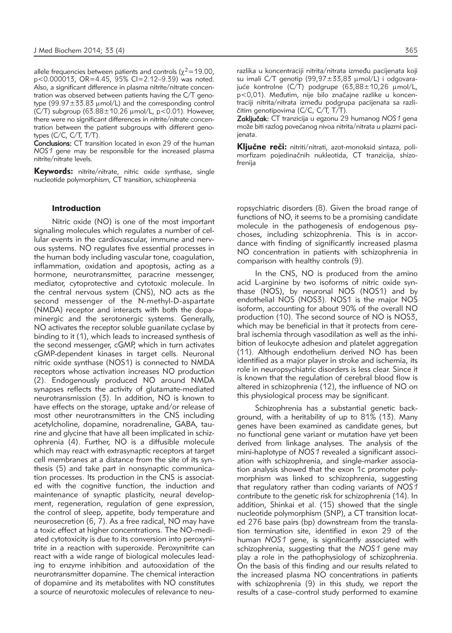allele frequencies between patients and controls ( $\chi^2$ =19.00, p<0.000013, OR=4.45, 95% CI=2.12–9.39) was noted. Also, a significant difference in plasma nitrite/nitrate concentration was observed between patients having the C/T genotype  $(99.97 \pm 33.83 \text{ µmol/L})$  and the corresponding control (C/T) subgroup  $(63.88 \pm 10.26 \,\mu\text{mol/L}, \,\text{p} < 0.01)$ . However, there were no significant differences in nitrite/nitrate concentration between the patient subgroups with different genotypes (C/C, C/T, T/T).

Conclusions: CT transition located in exon 29 of the human *NOS1* gene may be responsible for the increased plasma nitrite/nitrate levels.

**Keywords:** nitrite/nitrate, nitric oxide synthase, single nucleotide polymorphism, CT transition, schizophrenia

## Introduction

Nitric oxide (NO) is one of the most important signaling molecules which regulates a number of cellular events in the cardiovascular, immune and nervous systems. NO regulates five essential processes in the human body including vascular tone, coagulation, inflammation, oxidation and apoptosis, acting as a hormone, neurotransmitter, paracrine messenger, mediator, cytoprotective and cytotoxic molecule. In the central nervous system (CNS), NO acts as the second messenger of the N-methyl-D-aspartate (NMDA) receptor and interacts with both the dopaminergic and the serotonergic systems. Generally, NO activates the receptor soluble guanilate cyclase by binding to it (1), which leads to increased synthesis of the second messenger, cGMP, which in turn activates cGMP-dependent kinases in target cells. Neuronal nitric oxide synthase (NOS1) is connected to NMDA receptors whose activation increases NO production (2). Endogenously produced NO around NMDA synapses reflects the activity of glutamate-mediated neurotransmission (3). In addition, NO is known to have effects on the storage, uptake and/or release of most other neurotransmitters in the CNS including acetylcholine, dopamine, noradrenaline, GABA, taurine and glycine that have all been implicated in schizophrenia (4). Further, NO is a diffusible molecule which may react with extrasynaptic receptors at target cell membranes at a distance from the site of its synthesis (5) and take part in nonsynaptic communication processes. Its production in the CNS is associated with the cognitive function, the induction and maintenance of synaptic plasticity, neural development, regeneration, regulation of gene expression, the control of sleep, appetite, body temperature and neurosecretion (6, 7). As a free radical, NO may have a toxic effect at higher concentrations. The NO-mediated cytotoxicity is due to its conversion into peroxynitrite in a reaction with superoxide. Peroxynitrite can react with a wide range of biological molecules leading to enzyme inhibition and autooxidation of the neurotransmitter dopamine. The chemical interaction of dopamine and its metabolites with NO constitutes a source of neurotoxic molecules of relevance to neu-

razlika u koncentraciji nitrita/nitrata između pacijenata koji su imali C/T genotip  $(99.97 \pm 33.83 \text{ µmol/L})$  i odgovarajuće kontrolne (C/T) podgrupe (63,88 $\pm$ 10,26  $\mu$ mol/L, p<0,01). Međutim, nije bilo značajne razlike u koncentraciji nitrita/nitrata između podgrupa pacijenata sa različitim genotipovima (C/C, C/T, T/T).

Zaključak: CT tranzicija u egzonu 29 humanog NOS1 gena može biti razlog povećanog nivoa nitrita/nitrata u plazmi pacijenata.

Ključne reči: nitriti/nitrati, azot-monoksid sintaza, polimorfizam pojedinačnih nukleotida, CT tranzicija, shizofrenija

ropsychiatric disorders (8). Given the broad range of functions of NO, it seems to be a promising candidate molecule in the pathogenesis of endogenous psychoses, including schizophrenia. This is in accordance with finding of significantly increased plasma NO concentration in patients with schizophrenia in comparison with healthy controls (9).

In the CNS, NO is produced from the amino acid L-arginine by two isoforms of nitric oxide synthase (NOS), by neuronal NOS (NOS1) and by endothelial NOS (NOS3). NOS1 is the major NOS isoform, accounting for about 90% of the overall NO production (10). The second source of NO is NOS3, which may be beneficial in that it protects from cerebral ischemia through vasodilation as well as the inhibition of leukocyte adhesion and platelet aggregation (11). Although endothelium derived NO has been identified as a major player in stroke and ischemia, its role in neuropsychiatric disorders is less clear. Since it is known that the regulation of cerebral blood flow is altered in schizophrenia (12), the influence of NO on this physiological process may be significant.

Schizophrenia has a substantial genetic background, with a heritability of up to 81% (13). Many genes have been examined as candidate genes, but no functional gene variant or mutation have yet been derived from linkage analyses. The analysis of the mini-haplotype of *NOS1* revealed a significant association with schizophrenia, and single-marker association analysis showed that the exon 1c promoter polymorphism was linked to schizophrenia, suggesting that regulatory rather than coding variants of *NOS1* contribute to the genetic risk for schizophrenia (14). In addition, Shinkai et al. (15) showed that the single nucleotide polymorphism (SNP), a CT transition located 276 base pairs (bp) downstream from the translation termination site, identified in exon 29 of the human *NOS1* gene, is significantly associated with schizophrenia, suggesting that the *NOS1* gene may play a role in the pathophysiology of schizophrenia. On the basis of this finding and our results related to the increased plasma NO concentrations in patients with schizophrenia (9) in this study, we report the results of a case–control study performed to examine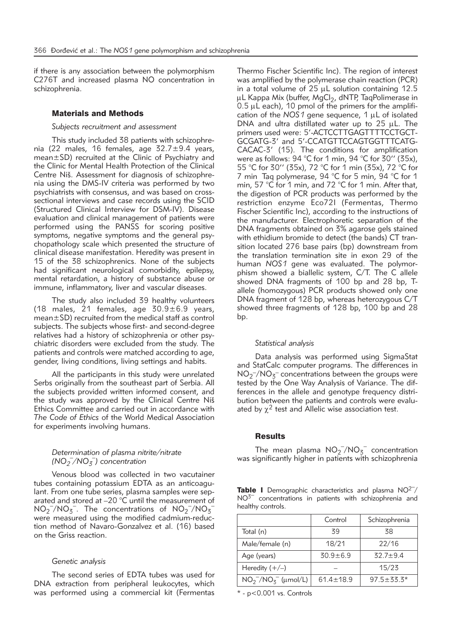if there is any association between the polymorphism C276T and increased plasma NO concentration in schizophrenia.

### Materials and Methods

## *Subjects recruitment and assessment*

This study included 38 patients with schizophrenia (22 males, 16 females, age 32.7±9.4 years, mean±SD) recruited at the Clinic of Psychiatry and the Clinic for Mental Health Protection of the Clinical Centre Niš. Assessment for diagnosis of schizophrenia using the DMS-IV criteria was performed by two psychiatrists with consensus, and was based on crosssectional interviews and case records using the SCID (Structured Clinical Interview for DSM-IV). Disease evaluation and clinical management of patients were performed using the PANSS for scoring positive symptoms, negative symptoms and the general psychopathology scale which presented the structure of clinical disease manifestation. Heredity was present in 15 of the 38 schizophrenics. None of the subjects had significant neurological comorbidity, epilepsy, mental retardation, a history of substance abuse or immune, inflammatory, liver and vascular diseases.

The study also included 39 healthy volunteers (18 males, 21 females, age  $30.9 \pm 6.9$  years, mean±SD) recruited from the medical staff as control subjects. The subjects whose first- and second-degree relatives had a history of schizophrenia or other psychiatric disorders were excluded from the study. The patients and controls were matched according to age, gender, living conditions, living settings and habits.

All the participants in this study were unrelated Serbs originally from the southeast part of Serbia. All the subjects provided written informed consent, and the study was approved by the Clinical Centre Niš Ethics Committee and carried out in accordance with *The Code of Ethics* of the World Medical Association for experiments involving humans.

## *Determination of plasma nitrite/nitrate (NO2* – */NO3* – *) concentration*

Venous blood was collected in two vacutainer tubes containing potassium EDTA as an anticoagulant. From one tube series, plasma samples were separated and stored at –20 °C until the measurement of  $NO<sub>2</sub><sup>-</sup>/NO<sub>3</sub><sup>-</sup>$ . The concentrations of  $NO<sub>2</sub><sup>-</sup>/NO<sub>3</sub>$ were measured using the modified cadmium-reduction method of Navaro-Gonzalvez et al. (16) based on the Griss reaction.

## *Genetic analysis*

The second series of EDTA tubes was used for DNA extraction from peripheral leukocytes, which was performed using a commercial kit (Fermentas Thermo Fischer Scientific Inc). The region of interest was amplified by the polymerase chain reaction (PCR) in a total volume of  $25 \mu L$  solution containing 12.5 µL Kappa Mix (buffer, MgCl<sub>2</sub>, dNTP, TaqPolimerase in  $0.5 \mu L$  each), 10 pmol of the primers for the amplification of the  $NOS1$  gene sequence,  $1 \mu L$  of isolated DNA and ultra distillated water up to  $25 \mu L$ . The primers used were: 5'-ACTCCTTGAGTTTTCCTGCT-GCGATG-3' and 5'-CCATGTTCCAGTGGTTTCATG-CACAC-3' (15). The conditions for amplification were as follows: 94 °C for 1 min, 94 °C for 30" (35x), 55 °C for 30'' (35x), 72 °C for 1 min (35x), 72 °C for 7 min Tag polymerase, 94 °C for 5 min, 94 °C for 1 min, 57 °C for 1 min, and 72 °C for 1 min. After that, the digestion of PCR products was performed by the restriction enzyme Eco72I (Fermentas, Thermo Fischer Scientific Inc), according to the instructions of the manufacturer. Electrophoretic separation of the DNA fragments obtained on 3% agarose gels stained with ethidium bromide to detect (the bands) CT transition located 276 base pairs (bp) downstream from the translation termination site in exon 29 of the human *NOS1* gene was evaluated. The polymorphism showed a biallelic system, C/T. The C allele showed DNA fragments of 100 bp and 28 bp, Tallele (homozygous) PCR products showed only one DNA fragment of 128 bp, whereas heterozygous C/T showed three fragments of 128 bp, 100 bp and 28 bp.

#### *Statistical analysis*

Data analysis was performed using SigmaStat and StatCalc computer programs. The differences in NO<sub>2</sub><sup>-</sup>/NO<sub>3</sub><sup>-</sup> concentrations between the groups were tested by the One Way Analysis of Variance. The differences in the allele and genotype frequency distribution between the patients and controls were evaluated by  $\chi^2$  test and Allelic wise association test.

## Results

The mean plasma  $NO_2^-/NO_3^-$  concentration was significantly higher in patients with schizophrenia

Table I Demographic characteristics and plasma NO<sup>2-</sup>/ NO3*–* concentrations in patients with schizophrenia and healthy controls.

|                          | Control      | Schizophrenia  |
|--------------------------|--------------|----------------|
| Total (n)                | 39           | 38             |
| Male/female (n)          | 18/21        | 22/16          |
| Age (years)              | $30.9 + 6.9$ | $32.7 + 9.4$   |
| Heredity $(+/-)$         |              | 15/23          |
| $NO_2^-/NO_5^-$ (µmol/L) | $614 + 189$  | $97.5 + 33.3*$ |

\* - p<0.001 vs. Controls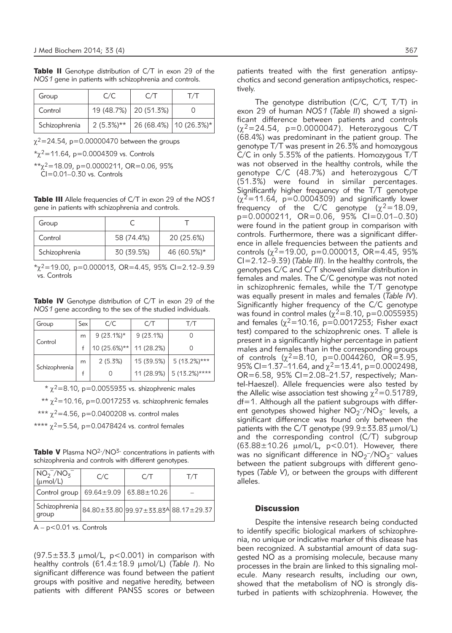Table II Genotype distribution of C/T in exon 29 of the *NOS1* gene in patients with schizophrenia and controls.

| Group         | C/C          | C/T                     |                          |
|---------------|--------------|-------------------------|--------------------------|
| Control       |              | 19 (48.7%)   20 (51.3%) |                          |
| Schizophrenia | $2(5.3\%)**$ |                         | 26 (68.4%)   10 (26.3%)* |

 $\chi^2$ =24.54, p=0.00000470 between the groups

 $x^2 = 11.64$ , p=0.0004309 vs. Controls

 $*_{y^2}$ =18.09, p=0.0000211, OR=0.06, 95%  $\widetilde{C}$ I=0.01–0.30 vs. Controls

Table III Allele frequencies of C/T in exon 29 of the *NOS1* gene in patients with schizophrenia and controls.

| Group         |            |             |
|---------------|------------|-------------|
| Control       | 58 (74.4%) | 20 (25.6%)  |
| Schizophrenia | 30 (39.5%) | 46 (60.5%)* |

 $x^2$  = 19.00, p=0.000013, OR=4.45, 95% CI=2.12-9.39 vs. Controls

Table IV Genotype distribution of C/T in exon 29 of the *NOS1* gene according to the sex of the studied individuals.

| Group         | Sex | C/C           | C/T        | T/T                        |
|---------------|-----|---------------|------------|----------------------------|
| Control       | m   | $9(23.1\%)*$  | 9(23.1%)   |                            |
|               |     | $10(25.6%)**$ | 11 (28.2%) |                            |
| Schizophrenia | m   | 2(5.3%)       | 15 (39.5%) | $5(13.2\%)***$             |
|               |     |               |            | $11(28.9\%)$ 5 (13.2%)**** |

 $*$   $\gamma^2$ =8.10, p=0.0055935 vs. shizophrenic males

\*\*  $\gamma^2$ =10.16, p=0.0017253 vs. schizophrenic females

\*\*\*  $\chi^2$ =4.56, p=0.0400208 vs. control males

\*\*\*\*  $\chi^2 = 5.54$ , p=0.0478424 vs. control females

Table V Plasma NO<sup>2-</sup>/NO<sup>3-</sup> concentrations in patients with schizophrenia and controls with different genotypes.

| $NO2-/NO3-$<br>$\mu \sim 1/L$                                                        | C/C | C/T | T/T |
|--------------------------------------------------------------------------------------|-----|-----|-----|
| Control group   69.64±9.09   63.88±10.26                                             |     |     |     |
| $ $ Schizophrenia $ _{84.80\pm35.80} _{99.97\pm33.83}$ $ _{88.17\pm29.37} $<br>group |     |     |     |

 $A - p < 0.01$  vs. Controls

 $(97.5\pm33.3 \text{ \mu mol/L}$ , p<0.001) in comparison with healthy controls (61.4±18.9 µmol/L) (Table I). No significant difference was found between the patient groups with positive and negative heredity, between patients with different PANSS scores or between patients treated with the first generation antipsychotics and second generation antipsychotics, respectively.

The genotype distribution (C/C, C/T, T/T) in exon 29 of human *NOS1* (*Table II*) showed a significant difference between patients and controls  $(x^2=24.54, p=0.0000047)$ . Heterozygous C/T (68.4%) was predominant in the patient group. The genotype T/T was present in 26.3% and homozygous C/C in only 5.35% of the patients. Homozygous T/T was not observed in the healthy controls, while the genotype C/C (48.7%) and heterozygous C/T (51.3%) were found in similar percentages. Significantly higher frequency of the T/T genotype  $(x^2=11.64, p=0.0004309)$  and significantly lower frequency of the C/C genotype ( $\chi^2$ =18.09, p=0.0000211, OR=0.06, 95% CI=0.01–0.30) were found in the patient group in comparison with controls. Furthermore, there was a significant difference in allele frequencies between the patients and controls ( $\chi^2$ =19.00, p=0.000013, OR=4.45, 95% CI=2.12–9.39) (*Table III*). In the healthy controls, the genotypes C/C and C/T showed similar distribution in females and males. The C/C genotype was not noted in schizophrenic females, while the T/T genotype was equally present in males and females (*Table IV*). Significantly higher frequency of the C/C genotype was found in control males ( $\chi^2$ =8.10, p=0.0055935) and females ( $\chi^2$ =10.16, p=0.0017253; Fisher exact test) compared to the schizophrenic ones. T allele is present in a significantly higher percentage in patient males and females than in the corresponding groups of controls  $(\chi^2=8.10, \text{ p}=0.0044260, \text{ OR}=\text{3.95},$ 95% CI=1.37–11.64, and χ<sup>2</sup>=13.41, p=0.0002498,<br>OR=6.58, 95% CI=2.08–21.57, respectively; Mantel- Haeszel). Allele frequencies were also tested by the Allelic wise association test showing  $\chi^2$ =0.51789, df=1. Although all the patient subgroups with different genotypes showed higher  $NO_2^-/NO_5^-$  levels, a significant difference was found only between the patients with the C/T genotype  $(99.9 \pm 33.83 \mu$  mol/L) and the corresponding control (C/T) subgroup  $(63.88 \pm 10.26 \mu \text{mol/L}, p < 0.01)$ . However, there was no significant difference in  $NO_2^-/NO_3^-$  values between the patient subgroups with different genotypes (*Table V*), or between the groups with different alleles.

## **Discussion**

Despite the intensive research being conducted to identify specific biological markers of schizophrenia, no unique or indicative marker of this disease has been recognized. A substantial amount of data suggested NO as a promising molecule, because many processes in the brain are linked to this signaling molecule. Many research results, including our own, showed that the metabolism of NO is strongly disturbed in patients with schizophrenia. However, the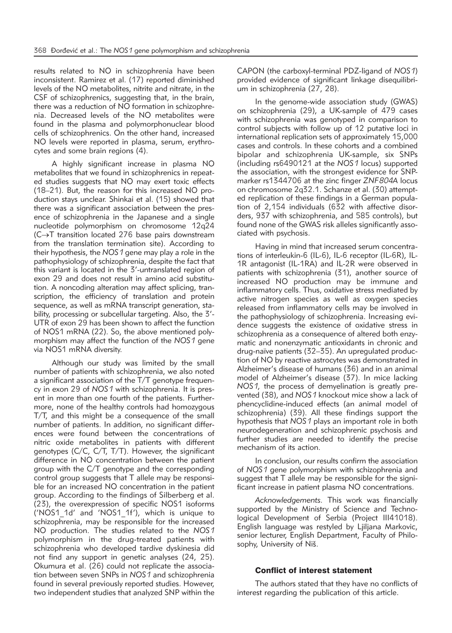results related to NO in schizophrenia have been inconsistent. Ramirez et al. (17) reported diminished levels of the NO metabolites, nitrite and nitrate, in the CSF of schizophrenics, suggesting that, in the brain, there was a reduction of NO formation in schizophrenia. Decreased levels of the NO metabolites were found in the plasma and polymorphonuclear blood cells of schizophrenics. On the other hand, increased NO levels were reported in plasma, serum, erythrocytes and some brain regions (4).

A highly significant increase in plasma NO metabolites that we found in schizophrenics in repeated studies suggests that NO may exert toxic effects (18–21). But, the reason for this increased NO production stays unclear. Shinkai et al. (15) showed that there was a significant association between the presence of schizophrenia in the Japanese and a single nucleotide polymorphism on chromosome 12q24 (C→T transition located 276 base pairs downstream from the translation termination site). According to their hypothesis, the *NOS1* gene may play a role in the pathophysiology of schizophrenia, despite the fact that this variant is located in the 3'-untranslated region of exon 29 and does not result in amino acid substitution. A noncoding alteration may affect splicing, transcription, the efficiency of translation and protein sequence, as well as mRNA transcript generation, stability, processing or subcellular targeting. Also, the 3'- UTR of exon 29 has been shown to affect the function of NOS1 mRNA (22). So, the above mentioned polymorphism may affect the function of the *NOS1* gene via NOS1 mRNA diversity.

Although our study was limited by the small number of patients with schizophrenia, we also noted a significant association of the T/T genotype frequency in exon 29 of *NOS1* with schizophrenia. It is present in more than one fourth of the patients. Furthermore, none of the healthy controls had homozygous T/T, and this might be a consequence of the small number of patients. In addition, no significant differences were found between the concentrations of nitric oxide metabolites in patients with different genotypes (C/C, C/T, T/T). However, the significant difference in NO concentration between the patient group with the C/T genotype and the corresponding control group suggests that T allele may be responsible for an increased NO concentration in the patient group. According to the findings of Silberberg et al. (23), the overexpression of specific NOS1 isoforms ('NOS1\_1d' and 'NOS1\_1f'), which is unique to schizophrenia, may be responsible for the increased NO production. The studies related to the *NOS1* polymorphism in the drug-treated patients with schizophrenia who developed tardive dyskinesia did not find any support in genetic analyses (24, 25). Okumura et al. (26) could not replicate the association between seven SNPs in *NOS1* and schizophrenia found in several previously reported studies. However, two independent studies that analyzed SNP within the

CAPON (the carboxyl-terminal PDZ-ligand of *NOS1*) provided evidence of significant linkage disequilibrium in schizophrenia (27, 28).

In the genome-wide association study (GWAS) on schizophrenia (29), a UK-sample of 479 cases with schizophrenia was genotyped in comparison to control subjects with follow up of 12 putative loci in international replication sets of approximately 15,000 cases and controls. In these cohorts and a combined bipolar and schizophrenia UK-sample, six SNPs (including rs6490121 at the *NOS1* locus) supported the association, with the strongest evidence for SNPmarker rs1344706 at the zinc finger *ZNF804A* locus on chromosome 2q32.1. Schanze et al. (30) attempted replication of these findings in a German population of 2,154 individuals (632 with affective disorders, 937 with schizophrenia, and 585 controls), but found none of the GWAS risk alleles significantly associated with psychosis.

Having in mind that increased serum concentrations of interleukin-6 (IL-6), IL-6 receptor (IL-6R), IL-1R antagonist (IL-1RA) and IL-2R were observed in patients with schizophrenia (31), another source of increased NO production may be immune and inflammatory cells. Thus, oxidative stress mediated by active nitrogen species as well as oxygen species released from inflammatory cells may be involved in the pathophysiology of schizophrenia. Increasing evidence suggests the existence of oxidative stress in schizophrenia as a consequence of altered both enzymatic and nonenzymatic antioxidants in chronic and drug-naïve patients (32–35). An upregulated production of NO by reactive astrocytes was demonstrated in Alzheimer's disease of humans (36) and in an animal model of Alzheimer's disease (37). In mice lacking *NOS1,* the process of demyelination is greatly prevented (38), and *NOS1* knockout mice show a lack of phencyclidine-induced effects (an animal model of schizophrenia) (39). All these findings support the hypothesis that *NOS1* plays an important role in both neurodegeneration and schizophrenic psychosis and further studies are needed to identify the precise mechanism of its action.

In conclusion, our results confirm the association of *NOS1* gene polymorphism with schizophrenia and suggest that T allele may be responsible for the significant increase in patient plasma NO concentrations.

*Acknowledgements.* This work was financially supported by the Ministry of Science and Technological Development of Serbia (Project III41018). English language was restyled by Ljiljana Markovic, senior lecturer, English Department, Faculty of Philosophy, University of Niš.

## Conflict of interest statement

The authors stated that they have no conflicts of interest regarding the publication of this article.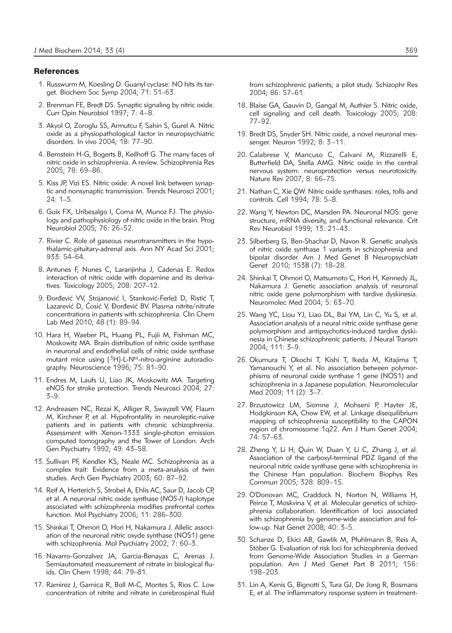## **References**

- 1. Russwurm M, Koesling D. Guanyl cyclase: NO hits its target. Biochem Soc Symp 2004; 71: 51–63.
- 2. Brenman FE, Bredt DS. Synaptic signaling by nitric oxide. Curr Opin Neurobiol 1997; 7: 4–8.
- 3. Akyol O, Zoroglu SS, Armutcu F, Sahin S, Gurel A. Nitric oxide as a physiopathological factor in neuropsychiatric disorders. In vivo 2004; 18: 77–90.
- 4. Bernstein H-G, Bogerts B, Keilhoff G. The many faces of nitric oxide in schizophrenia. A review. Schizophrenia Res 2005; 78: 69–86.
- 5. Kiss JP, Vizi ES. Nitric oxide: A novel link between synaptic and nonsynaptic transmission. Trends Neurosci 2001;  $24: 1 - 5$ .
- 6. Guix FX, Uribesalgo I, Coma M, Munoz FJ. The physio logy and pathophysiology of nitric oxide in the brain. Prog Neurobiol 2005; 76: 26–52.
- 7. Rivier C. Role of gaseous neurotransmitters in the hypothalamic-pituitary-adrenal axis. Ann NY Acad Sci 2001; 933: 54–64.
- 8. Antunes F, Nunes C, Laranjinha J, Cadenas E. Redox interaction of nitric oxide with dopamine and its derivatives. Toxicology 2005; 208: 207–12.
- 9. Đorđević VV, Stojanović I, Stanković-Ferlež D, Ristić T, Lazarević D, Ćosić V, Đorđević BV. Plasma nitrite/nitrate concentrations in patients with schizophrenia. Clin Chem Lab Med 2010; 48 (1): 89–94.
- 10. Hara H, Waeber PL, Huang PL, Fujii M, Fishman MC, Moskowitz MA. Brain distribution of nitric oxide synthase in neuronal and endothelial cells of nitric oxide synthase mutant mice using  $[{}^{3}H]$ -L-N<sup>o</sup>-nitro-arginine autoradiography. Neuroscience 1996; 75: 81–90.
- 11. Endres M, Laufs U, Liao JK, Moskowitz MA. Targeting eNOS for stroke protection. Trends Neurosci 2004; 27: 3–9.
- 12. Andreasen NC, Rezai K, Alliger R, Swayzell VW, Flaum M, Kirchner P, et al. Hypofrontality in neuroleptic-naïve patients and in patients with chronic schizophrenia. Assessment with Xenon-1333 single-photon emission computed tomography and the Tower of London. Arch Gen Psychiatry 1992; 49: 43–58.
- 13. Sullivan PF, Kendler KS, Neale MC. Schizophrenia as a complex trait: Evidence from a meta-analysis of twin studies. Arch Gen Psychiatry 2003; 60: 87–92.
- 14. Reif A, Herterich S, Strobel A, Ehlis AC, Saur D, Jacob CP, et al. A neuronal nitric oxide synthase (*NOS-I*) haplotype associated with schizophrenia modifies prefrontal cortex function. Mol Psychiatry 2006; 11: 286–300.
- 15. Shinkai T, Ohmori O, Hori H, Nakamura J. Allelic association of the neuronal nitric oxyde synthase (NOS1) gene with schizophrenia. Mol Psychiatry 2002; 7: 60–3.
- 16. Navarro-Gonzalvez JA, Garcia-Benayas C, Arenas J. Semiautomated measurement of nitrate in biological fluids. Clin Chem 1998; 44: 79–81.
- 17. Ramirez J, Garnica R, Boll M-C, Montes S, Rios C. Low concentration of nitrite and nitrate in cerebrospinal fluid

from schizophrenic patients; a pilot study. Schizophr Res 2004; 86: 57–61.

- 18. Blaise GA, Gauvin D, Gangal M, Authier S. Nitric oxide, cell signaling and cell death. Toxicology 2005; 208: 77–92.
- 19. Bredt DS, Snyder SH. Nitric oxide, a novel neuronal messenger. Neuron 1992; 8: 3–11.
- 20. Calabrese V, Mancuso C, Calvani M, Rizzarelli E, Butterfield DA, Stella AMG. Nitric oxide in the central nervous system: neuroprotection versus neurotoxicity. Nature Rev 2007; 8: 66–75.
- 21. Nathan C, Xie QW. Nitric oxide synthases: roles, tolls and controls. Cell 1994; 78: 5–8.
- 22. Wang Y, Newton DC, Marsden PA. Neuronal NOS: gene structure, mRNA diversity, and functional relevance. Crit Rev Neurobiol 1999; 13: 21–43.
- 23. Silberberg G, Ben-Shachar D, Navon R. Genetic analysis of nitric oxide synthase 1 variants in schizophrenia and bipolar disorder. Am J Med Genet B Neuropsychiatr Genet 2010; 153B (7): 18–28.
- 24. Shinkai T, Ohmori O, Matsumoto C, Hori H, Kennedy JL, Nakamura J. Genetic association analysis of neuronal nitric oxide gene polymorphism with tardive dyskinesia. Neuromolec Med 2004; 5: 63–70.
- 25. Wang YC, Liou YJ, Liao DL, Bai YM, Lin C, Yu S, et al. Association analysis of a neural nitric oxide synthase gene polymorphism and antipsychotics-induced tardive dyskinesia in Chinese schizophrenic patients. J Neural Transm 2004; 111: 3–9.
- 26. Okumura T, Okochi T, Kishi T, Ikeda M, Kitajima T, Yamanouchi Y, et al. No association between polymorphisms of neuronal oxide synthase 1 gene (NOS1) and schizophrenia in a Japanese population. Neuromolecular Med 2009; 11 (2): 3–7.
- 27. Brzustowicz LM, Siomne J, Mohseni P, Hayter JE, Hodgkinson KA, Chow EW, et al. Linkage disequilibrium mapping of schizophrenia susceptibility to the CAPON region of chromosome 1q22. Am J Hum Genet 2004; 74: 57–63.
- 28. Zheng Y, Li H, Quin W, Duan Y, Li C, Zhang J, et al. Association of the carboxyl-terminal PDZ ligand of the neuronal nitric oxide synthase gene with schizophrenia in the Chinese Han population. Biochem Biophys Res Commun 2005; 328: 809–15.
- 29. O'Donovan MC, Craddock N, Norton N, Williams H, Peirce T, Moskvina V, et al. Molecular genetics of schizophrenia collaboration. Identification of loci associated with schizophrenia by genome-wide association and follow-up. Nat Genet 2008; 40: 3–5.
- 30. Schanze D, Ekici AB, Gawlik M, Pfuhlmann B, Reis A, Stöber G. Evaluation of risk loci for schizophrenia derived from Genome-Wide Association Studies in a German population. Am J Med Genet Part B 2011; 156: 198–203.
- 31. Lin A, Kenis G, Bignotti S, Tura GJ, De Jong R, Bosmans E, et al. The inflammatory response system in treatment-